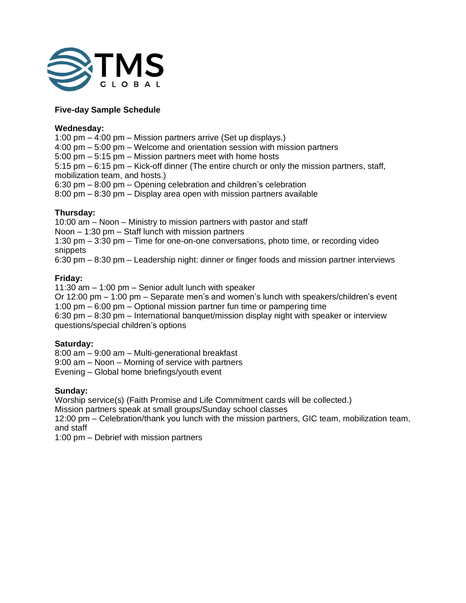

## **Five-day Sample Schedule**

### **Wednesday:**

1:00 pm – 4:00 pm – Mission partners arrive (Set up displays.)

4:00 pm – 5:00 pm – Welcome and orientation session with mission partners

5:00 pm – 5:15 pm – Mission partners meet with home hosts

5:15 pm – 6:15 pm – Kick-off dinner (The entire church or only the mission partners, staff, mobilization team, and hosts.)

6:30 pm – 8:00 pm – Opening celebration and children's celebration

8:00 pm – 8:30 pm – Display area open with mission partners available

## **Thursday:**

10:00 am – Noon – Ministry to mission partners with pastor and staff Noon – 1:30 pm – Staff lunch with mission partners

1:30 pm – 3:30 pm – Time for one-on-one conversations, photo time, or recording video snippets

6:30 pm – 8:30 pm – Leadership night: dinner or finger foods and mission partner interviews

## **Friday:**

11:30 am – 1:00 pm – Senior adult lunch with speaker

Or 12:00 pm – 1:00 pm – Separate men's and women's lunch with speakers/children's event 1:00 pm – 6:00 pm – Optional mission partner fun time or pampering time

6:30 pm – 8:30 pm – International banquet/mission display night with speaker or interview questions/special children's options

# **Saturday:**

8:00 am – 9:00 am – Multi-generational breakfast

9:00 am – Noon – Morning of service with partners

Evening – Global home briefings/youth event

## **Sunday:**

Worship service(s) (Faith Promise and Life Commitment cards will be collected.)

Mission partners speak at small groups/Sunday school classes

12:00 pm – Celebration/thank you lunch with the mission partners, GIC team, mobilization team, and staff

1:00 pm – Debrief with mission partners